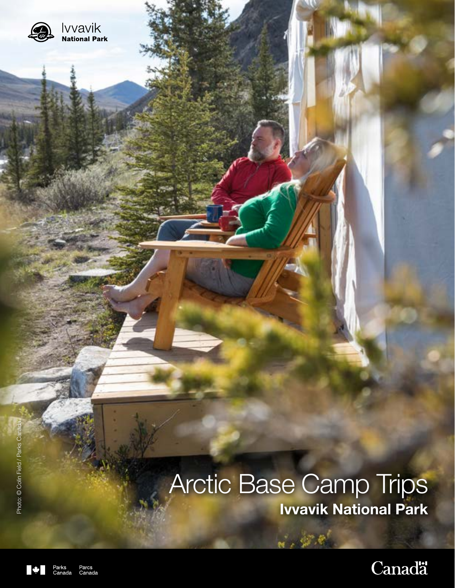



**VVavik**<br>National Park

**CA** 

Canadä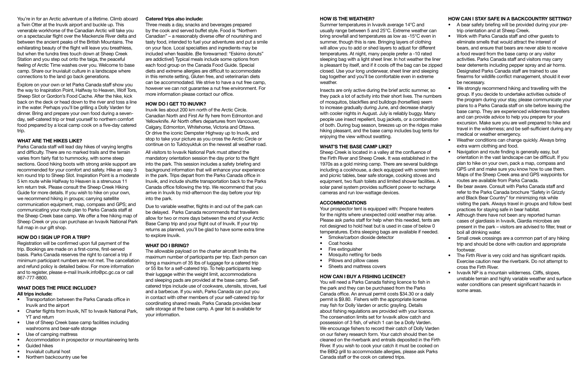You're in for an Arctic adventure of a lifetime. Climb aboard a Twin Otter at the Inuvik airport and buckle up. This venerable workhorse of the Canadian Arctic will take you on a spectacular flight over the Mackenzie River delta and between the ancient peaks of the British Mountains. The exhilarating beauty of the flight will leave you breathless, but when the tundra tires touch down at Sheep Creek Station and you step out onto the taiga, the peaceful feeling of Arctic Time washes over you. Welcome to base camp. Share our Inuvialuit culture in a landscape where connections to the land go back generations.

Explore on your own or let Parks Canada staff show you the way to Inspiration Point, Halfway to Heaven, Wolf Tors, Sheep Slot or Gordon's Food Cache. After the hike, kick back on the deck or head down to the river and toss a line in the water. Perhaps you'll be grilling a Dolly Varden for dinner. Bring and prepare your own food during a sevenday, self-catered trip or treat yourself to northern comfort food prepared by a local camp cook on a five-day catered trip.

# **WHAT ARE THE HIKES LIKE?**

- Transportation between the Parks Canada office in Inuvik and the airport
- Charter flights from Inuvik, NT to Ivvavik National Park, YT and return
- Use of Sheep Creek base camp facilities including washrooms and bear-safe storage
- Use of camping mattress
- Accommodation in prospector or mountaineering tents
- Guided hikes
- Inuvialuit cultural host
- Northern backcountry use fee

Parks Canada staff will lead day hikes of varying lengths and difficulty. There are no marked trails and the terrain varies from fairly flat to hummocky, with some steep sections. Good hiking boots with strong ankle support are recommended for your comfort and safety. Hike an easy 3 km round trip to Sheep Slot. Inspiration Point is a moderate 5 km route while Halfway to Heaven is a strenuous 11 km return trek. Please consult the Sheep Creek Hiking Guide for more details. If you wish to hike on your own, we recommend hiking in groups; carrying satellite communication equipment, map, compass and GPS; and communicating your route plan to Parks Canada staff at the Sheep Creek base camp. We offer a free hiking map of Sheep Creek or you can purchase an Ivvavik National Park full map in our gift shop.

# **HOW DO I SIGN UP FOR A TRIP?**

Registration will be confirmed upon full payment of the trip. Bookings are made on a first-come, first-served basis. Parks Canada reserves the right to cancel a trip if minimum participant numbers are not met. The cancellation and refund policy is detailed below. For more information and to register, please e-mail Inuvik.info@pc.gc.ca or call 867-777-8800.

# **WHAT DOES THE PRICE INCLUDE? All trips include:**

#### **Catered trips also include:**

Three meals a day, snacks and beverages prepared by the cook and served buffet style. Food is "Northern Canadian" – a reasonably diverse offer of nourishing and tasty food, intended to fuel your adventures and put a smile on your face. Local specialties and ingredients may be included when feasible. (Be forewarned: "Eskimo donuts" are addictive!) Typical meals include some options from each food group on the Canada Food Guide. Special diets and extreme allergies are difficult to accommodate in this remote setting, Gluten free, and veterinarian diets can be accommodated. We strive to have a nut free camp, however we can not guarantee a nut free environment. For more information please contact our office.

# **HOW DO I GET TO INUVIK?**

Inuvik lies about 200 km north of the Arctic Circle. Canadian North and First Air fly here from Edmonton and Yellowknife. Air North offers departures from Vancouver, Calgary, Edmonton, Whitehorse, Victoria and Ottawa. Or drive the iconic Dempster Highway up to Inuvik, and stop to take your picture as you cross the Arctic Circle or continue on to Tuktoyuktuk on the newest all weather road.

All visitors to Ivvavik National Park must attend the mandatory orientation session the day prior to the flight into the park. This session includes a safety briefing and background information that will enhance your experience in the park. Trips depart from the Parks Canada office in Inuvik, and include shuttle transportation back to the Parks Canada office following the trip. We recommend that you arrive in Inuvik by mid-afternoon the day before your trip into the park.

Due to variable weather, flights in and out of the park can be delayed. Parks Canada recommends that travellers allow for two or more days between the end of your Arctic Base Camp trip and your flight out of Inuvik. If your trip returns as planned, you'll be glad to have some extra time to explore Inuvik.

# **WHAT DO I BRING?**

The allowable payload on the charter aircraft limits the maximum number of participants per trip. Each person can bring a maximum of 35 lbs of luggage for a catered trip or 55 lbs for a self-catered trip. To help participants keep their luggage within the weight limit, accommodations and sleeping pads are provided at the base camp. Selfcatered trips include use of cookware, utensils, stoves, fuel and a barbecue. If you wish, Parks Canada can put you in contact with other members of your self-catered trip for coordinating shared meals. Parks Canada provides bear safe storage at the base camp. A gear list is available for your information.

### **HOW IS THE WEATHER?**

Summer temperatures in Ivvavik average 14°C and usually range between 5 and 25°C. Extreme weather can bring snowfall and temperatures as low as -15°C even in summer, though this is rare. Bringing layers of clothing will allow you to add or shed layers to adjust for different temperatures. At night, many people prefer a -10 rated sleeping bag with a light sheet liner. In hot weather the liner is pleasant by itself, and if it cools off the bag can be zipped closed. Use your long underwear, sheet liner and sleeping bag together and you'll be comfortable even in extreme weather.

Insects are only active during the brief arctic summer, so they pack a lot of activity into their short lives. The numbers of mosquitos, blackflies and bulldogs (horseflies) seem to increase gradually during June, and decrease sharply with cooler nights in August. July is reliably buggy. Many people use insect repellent, bug jackets, or a combination of both. During bug season, breezes up on the ridges make hiking pleasant, and the base camp includes bug tents for enjoying the view without swatting.

# **WHAT'S THE BASE CAMP LIKE?**

Sheep Creek is located in a valley at the confluence of the Firth River and Sheep Creek. It was established in the 1970s as a gold mining camp. There are several buildings including a cookhouse, a deck equipped with screen tents and picnic tables, bear safe storage, cooking stoves and equipment, two flush toilets and limited shower facilities. A solar panel system provides sufficient power to recharge cameras and run low-wattage devices.

#### **ACCOMMODATIONS**

Your prospector tent is equipped with: Propane heaters for the nights where unexpected cold weather may arise. Please ask parks staff for help when this needed, tents are not designed to hold heat but is used in case of below 0 temperatures. Extra sleeping bags are available if needed.

- Smoke/carbon dioxide detector
- Coat hooks
- Fire extinguisher
- Mosquito netting for beds
- Pillows and pillow cases
- Sheets and mattress covers

#### **HOW CAN I BUY A FISHING LICENCE?**

You will need a Parks Canada fishing licence to fish in the park and they can be purchased from the Parks Canada office. An annual permit costs \$34.30 or a daily permit is \$9.80. Fishers with the appropriate license may fish for Dolly Varden or arctic grayling. Details about fishing regulations are provided with your licence. The conservation limits set for Ivvavik allow catch and possession of 3 fish, of which 1 can be a Dolly Varden. We encourage fishers to record their catch of Dolly Varden on our fishery research form. Your catch should then be cleaned on the riverbank and entrails deposited in the Firth River. If you wish to cook your catch it must be cooked on the BBQ grill to accommodate allergies, please ask Parks Canada staff or the cook on catered trips.

# **HOW CAN I STAY SAFE IN A BACKCOUNTRY SETTING?**

- A bear safety briefing will be provided during your pretrip orientation and at Sheep Creek.
- Work with Parks Canada staff and other guests to eliminate smells that would attract the interest of bears, and ensure that bears are never able to receive a food reward from the base camp or any visitor activities. Parks Canada staff and visitors may carry bear deterrents including pepper spray and air horns. Designated Parks Canada staff are trained to use firearms for wildlife conflict management, should it ever be necessary.
- We strongly recommend hiking and travelling with the group. If you decide to undertake activities outside of the program during your stay, please communicate your plans to a Parks Canada staff on site before leaving the base camp. They are experienced wilderness travellers and can provide advice to help you prepare for your excursion. Make sure you are well prepared to hike and travel in the wilderness; and be self-sufficient during any medical or weather emergency.
	- Weather conditions can change quickly. Always bring extra warm clothing and food.
	- Navigation and route finding is generally easy, but orientation in the vast landscape can be difficult. If you plan to hike on your own, pack a map, compass and GPS unit and make sure you know how to use them. Maps of the Sheep Creek area and GPS waypoints for routes are available from Parks Canada.
	- Be bear aware. Consult with Parks Canada staff and refer to the Parks Canada brochure "Safety in Grizzly and Black Bear Country" for minimizing risk while visiting the park. Always travel in groups and follow best practices for staying safe in bear habitat.
- Although there have not been any reported human cases of giardiasis in Ivvavik, Giardia microbes are present in the park – visitors are advised to filter, treat or boil all drinking water.
	- Small creek crossings are a common part of any hiking trip and should be done with caution and appropriate footwear.
	- The Firth River is very cold and has significant rapids. Exercise caution near the riverbank. Do not attempt to cross the Firth River.
	- Ivvavik NP is a mountain wilderness. Cliffs, slopes, unstable terrain and highly variable weather and surface water conditions can present significant hazards in some areas.
- 
- 
-